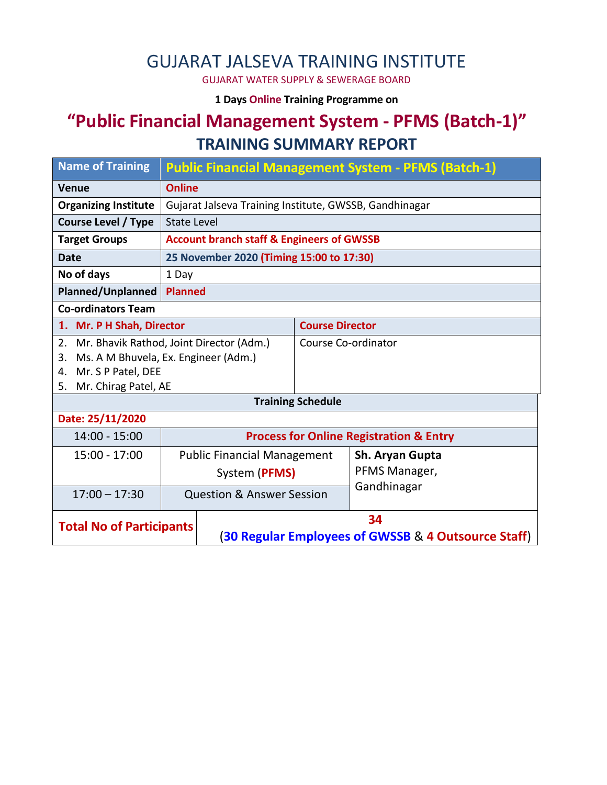## GUJARAT JALSEVA TRAINING INSTITUTE

GUJARAT WATER SUPPLY & SEWERAGE BOARD

**1 Days Online Training Programme on** 

# **"Public Financial Management System - PFMS (Batch-1)" TRAINING SUMMARY REPORT**

| <b>Name of Training</b>                        | <b>Public Financial Management System - PFMS (Batch-1)</b> |                                                      |                        |                 |  |  |  |
|------------------------------------------------|------------------------------------------------------------|------------------------------------------------------|------------------------|-----------------|--|--|--|
| <b>Venue</b>                                   | <b>Online</b>                                              |                                                      |                        |                 |  |  |  |
| <b>Organizing Institute</b>                    | Gujarat Jalseva Training Institute, GWSSB, Gandhinagar     |                                                      |                        |                 |  |  |  |
| <b>Course Level / Type</b>                     | <b>State Level</b>                                         |                                                      |                        |                 |  |  |  |
| <b>Target Groups</b>                           |                                                            | <b>Account branch staff &amp; Engineers of GWSSB</b> |                        |                 |  |  |  |
| <b>Date</b>                                    |                                                            | 25 November 2020 (Timing 15:00 to 17:30)             |                        |                 |  |  |  |
| No of days                                     | 1 Day                                                      |                                                      |                        |                 |  |  |  |
| Planned/Unplanned                              | <b>Planned</b>                                             |                                                      |                        |                 |  |  |  |
| <b>Co-ordinators Team</b>                      |                                                            |                                                      |                        |                 |  |  |  |
| 1. Mr. P H Shah, Director                      |                                                            |                                                      | <b>Course Director</b> |                 |  |  |  |
| Mr. Bhavik Rathod, Joint Director (Adm.)<br>2. |                                                            |                                                      | Course Co-ordinator    |                 |  |  |  |
| Ms. A M Bhuvela, Ex. Engineer (Adm.)<br>3.     |                                                            |                                                      |                        |                 |  |  |  |
| Mr. S P Patel, DEE<br>4.                       |                                                            |                                                      |                        |                 |  |  |  |
| Mr. Chirag Patel, AE<br>5.                     |                                                            |                                                      |                        |                 |  |  |  |
| <b>Training Schedule</b>                       |                                                            |                                                      |                        |                 |  |  |  |
| Date: 25/11/2020                               |                                                            |                                                      |                        |                 |  |  |  |
| $14:00 - 15:00$                                |                                                            | <b>Process for Online Registration &amp; Entry</b>   |                        |                 |  |  |  |
| 15:00 - 17:00                                  | <b>Public Financial Management</b>                         |                                                      |                        | Sh. Aryan Gupta |  |  |  |
|                                                |                                                            | System (PFMS)                                        |                        | PFMS Manager,   |  |  |  |
| $17:00 - 17:30$                                |                                                            | <b>Question &amp; Answer Session</b>                 |                        | Gandhinagar     |  |  |  |
|                                                |                                                            |                                                      |                        |                 |  |  |  |
| <b>Total No of Participants</b>                |                                                            | 34                                                   |                        |                 |  |  |  |
|                                                |                                                            | (30 Regular Employees of GWSSB & 4 Outsource Staff)  |                        |                 |  |  |  |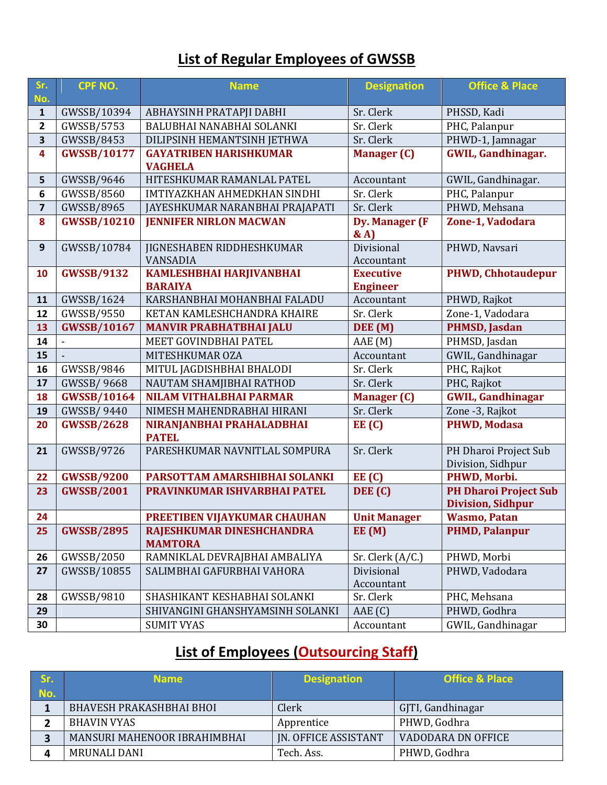### **List of Regular Employees of GWSSB**

| Sr.<br>No.              | CPF NO.            | <b>Name</b>                                 | <b>Designation</b>           | <b>Office &amp; Place</b>          |
|-------------------------|--------------------|---------------------------------------------|------------------------------|------------------------------------|
| $\mathbf{1}$            | GWSSB/10394        | ABHAYSINH PRATAPJI DABHI                    | Sr. Clerk                    | PHSSD, Kadi                        |
| $\mathbf{2}$            | GWSSB/5753         | BALUBHAI NANABHAI SOLANKI                   | Sr. Clerk                    | PHC, Palanpur                      |
| $\overline{\mathbf{3}}$ | GWSSB/8453         | DILIPSINH HEMANTSINH JETHWA                 | Sr. Clerk                    | PHWD-1, Jamnagar                   |
| 4                       | <b>GWSSB/10177</b> | <b>GAYATRIBEN HARISHKUMAR</b>               | <b>Manager (C)</b>           | <b>GWIL, Gandhinagar.</b>          |
|                         |                    | <b>VAGHELA</b>                              |                              |                                    |
| 5                       | GWSSB/9646         | HITESHKUMAR RAMANLAL PATEL                  | Accountant                   | GWIL, Gandhinagar.                 |
| 6                       | GWSSB/8560         | IMTIYAZKHAN AHMEDKHAN SINDHI                | Sr. Clerk                    | PHC, Palanpur                      |
| $\overline{\mathbf{z}}$ | GWSSB/8965         | JAYESHKUMAR NARANBHAI PRAJAPATI             | Sr. Clerk                    | PHWD, Mehsana                      |
| 8                       | <b>GWSSB/10210</b> | <b>JENNIFER NIRLON MACWAN</b>               | <b>Dy. Manager (F</b><br>& A | Zone-1, Vadodara                   |
| 9                       | GWSSB/10784        | JIGNESHABEN RIDDHESHKUMAR                   | Divisional                   | PHWD, Navsari                      |
|                         |                    | <b>VANSADIA</b>                             | Accountant                   |                                    |
| 10                      | <b>GWSSB/9132</b>  | KAMLESHBHAI HARJIVANBHAI                    | <b>Executive</b>             | <b>PHWD, Chhotaudepur</b>          |
|                         |                    | <b>BARAIYA</b>                              | <b>Engineer</b>              |                                    |
| 11                      | GWSSB/1624         | KARSHANBHAI MOHANBHAI FALADU                | Accountant                   | PHWD, Rajkot                       |
| 12                      | GWSSB/9550         | KETAN KAMLESHCHANDRA KHAIRE                 | Sr. Clerk                    | Zone-1, Vadodara                   |
| 13                      | <b>GWSSB/10167</b> | <b>MANVIR PRABHATBHAI JALU</b>              | DEE (M)                      | <b>PHMSD, Jasdan</b>               |
| 14<br>15                |                    | MEET GOVINDBHAI PATEL<br>MITESHKUMAR OZA    | AAE(M)                       | PHMSD, Jasdan<br>GWIL, Gandhinagar |
| 16                      | GWSSB/9846         | MITUL JAGDISHBHAI BHALODI                   | Accountant<br>Sr. Clerk      | PHC, Rajkot                        |
| 17                      | <b>GWSSB/9668</b>  | NAUTAM SHAMJIBHAI RATHOD                    | Sr. Clerk                    | PHC, Rajkot                        |
| 18                      | <b>GWSSB/10164</b> | <b>NILAM VITHALBHAI PARMAR</b>              | <b>Manager (C)</b>           | <b>GWIL, Gandhinagar</b>           |
| 19                      | <b>GWSSB/9440</b>  | NIMESH MAHENDRABHAI HIRANI                  | Sr. Clerk                    | Zone -3, Rajkot                    |
| 20                      | <b>GWSSB/2628</b>  | NIRANJANBHAI PRAHALADBHAI                   | EE(C)                        | <b>PHWD, Modasa</b>                |
|                         |                    | <b>PATEL</b>                                |                              |                                    |
| 21                      | GWSSB/9726         | PARESHKUMAR NAVNITLAL SOMPURA               | Sr. Clerk                    | PH Dharoi Project Sub              |
|                         |                    |                                             |                              | Division, Sidhpur                  |
| 22                      | <b>GWSSB/9200</b>  | PARSOTTAM AMARSHIBHAI SOLANKI               | EE(C)                        | PHWD, Morbi.                       |
| 23                      | <b>GWSSB/2001</b>  | PRAVINKUMAR ISHVARBHAI PATEL                | DEE (C)                      | <b>PH Dharoi Project Sub</b>       |
|                         |                    |                                             |                              | <b>Division, Sidhpur</b>           |
| 24                      |                    | PREETIBEN VIJAYKUMAR CHAUHAN                | <b>Unit Manager</b>          | <b>Wasmo, Patan</b>                |
| 25                      | <b>GWSSB/2895</b>  | RAJESHKUMAR DINESHCHANDRA<br><b>MAMTORA</b> | EE(M)                        | <b>PHMD, Palanpur</b>              |
| 26                      | GWSSB/2050         | RAMNIKLAL DEVRAJBHAI AMBALIYA               | Sr. Clerk (A/C.)             | PHWD, Morbi                        |
| 27                      | GWSSB/10855        | SALIMBHAI GAFURBHAI VAHORA                  | Divisional<br>Accountant     | PHWD, Vadodara                     |
| 28                      | GWSSB/9810         | SHASHIKANT KESHABHAI SOLANKI                | Sr. Clerk                    | PHC, Mehsana                       |
| 29                      |                    | SHIVANGINI GHANSHYAMSINH SOLANKI            | AAE(C)                       | PHWD, Godhra                       |
| 30                      |                    | <b>SUMIT VYAS</b>                           | Accountant                   | GWIL, Gandhinagar                  |

## **List of Employees (Outsourcing Staff)**

| Sr. | <b>Name</b>                     | <b>Designation</b>          | <b>Office &amp; Place</b> |
|-----|---------------------------------|-----------------------------|---------------------------|
| No. |                                 |                             |                           |
|     | <b>BHAVESH PRAKASHBHAI BHOI</b> | Clerk                       | GJTI, Gandhinagar         |
|     | <b>BHAVIN VYAS</b>              | Apprentice                  | PHWD, Godhra              |
|     | MANSURI MAHENOOR IBRAHIMBHAI    | <b>IN. OFFICE ASSISTANT</b> | <b>VADODARA DN OFFICE</b> |
|     | <b>MRUNALI DANI</b>             | Tech. Ass.                  | PHWD, Godhra              |